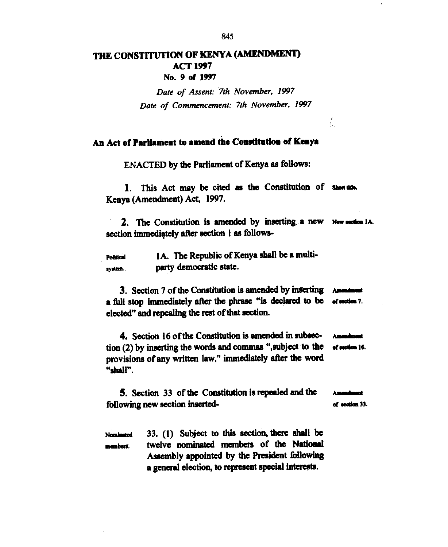## **THE CONSTITUTION OF KENYA (AMENDMENT) ACT 1997 No. 9 of 1997**

Date of Assent: 7th November, 1997 Date of Commencement: 7th November, 1997

## **An Act of Parliament to amend the Constitution of Kenya**

**ENACTED by the Parliament of Kenya as follows:** 

1. This Act may be cited as the Constitution of short tide. **Kenya (Amendment) Act, 1997.** 

2. The Constitution is amended by inserting a new New section 1A. **section immedigtely after section 1 as follows-**

**1A. The Republic of Kenya shall be a multi-Political party democratic state.**  system.

**3.** Section 7 of the Constitution is amended by inserting **a** full stop immediately after the phrase "is declared to be  $\alpha$  or nection 7. **elected" and repealing the rest of that section.** 

**4. Section 16 of the Constitution is amended in subsec-** Amendment tion (2) by inserting the words and commas ", subject to the **of section** 16. **provisions of any written law," immediately after the word "shall".** 

**5.** Section 33 of the Constitution is repealed and the following new section inserted-<br> **d adios** 33.

Nominated 33. (1) Subject to this section, there shall be **membert. twelve nominated members of the National Assembly appointed by the President following a general election, to represent special interests.** 

845

Ĺ.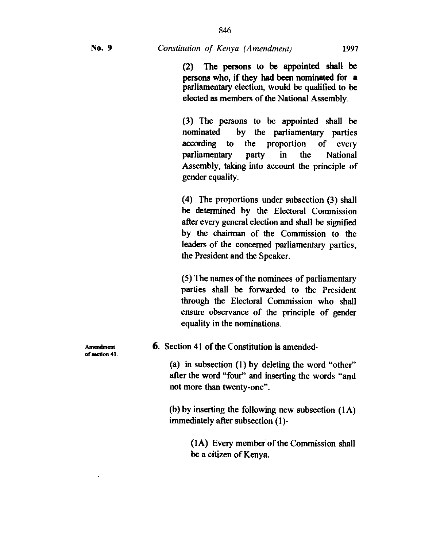(3) The persons to be appointed shall be nominated by the parliamentary parties according to the proportion of every parliamentary party in the National Assembly, taking into account the principle of gender equality.

(4) The proportions under subsection (3) shall be determined by the Electoral Commission after every general election and shall be signified by the chairman of the Commission to the leaders of the concerned parliamentary parties, the President and the Speaker.

(5) The names of the nominees of parliamentary parties shall be forwarded to the President through the Electoral Commission who shall ensure observance of the principle of gender equality in the nominations.

**6.** Section 41 of the Constitution is amended-

(a) in subsection (1) by deleting the word "other" after the word "four" and inserting the words "and not more than twenty-one".

(b) by insetting the following new subsection (IA) immediately after subsection (1)-

> (1A) Every member of the Commission shall be a citizen of Kenya.

**Antaxlment**  of section 41.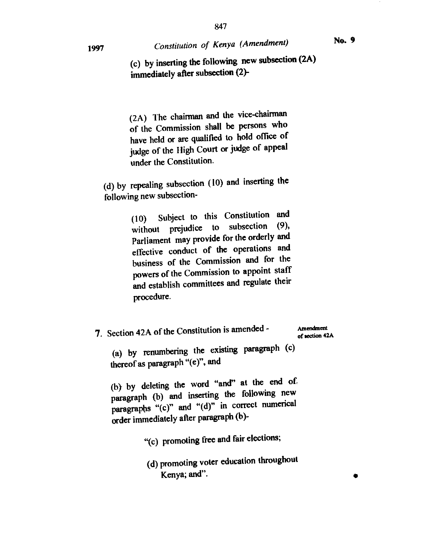•

**(c) by inserting the following new subsection (2A)** 

**immediately after subsection (2)-** 

(2A) The chairman and the vice-chairman of the Commission shall be persons who have held or are qualified to hold office of judge of the High Court or judge of appeal under the Constitution.

(d) by repealing subsection (10) and inserting the following new subsection-

> (10) Subject to this Constitution and<br>
> ithout projudice to subsection (9). without prejudice to subsection Parliament may provide for the orderly and effective conduct of the operations and business of the Commission and for the powers of the Commission to appoint staff and establish committees and regulate their procedure.

**7.** Section 42A of the Constitution is amended - (a) by renumbering the existing paragraph (c) **Amendment of section 42A** 

thereof as paragraph "(e)", and

(b) by deleting the word "and" at the end of. paragraph (b) and inserting the following new paragraphs "(c)" and "(d)" in correct numerical order immediately after paragraph (b)-

"(c) promoting free and fair elections;

(d) promoting voter education throughout Kenya; and".